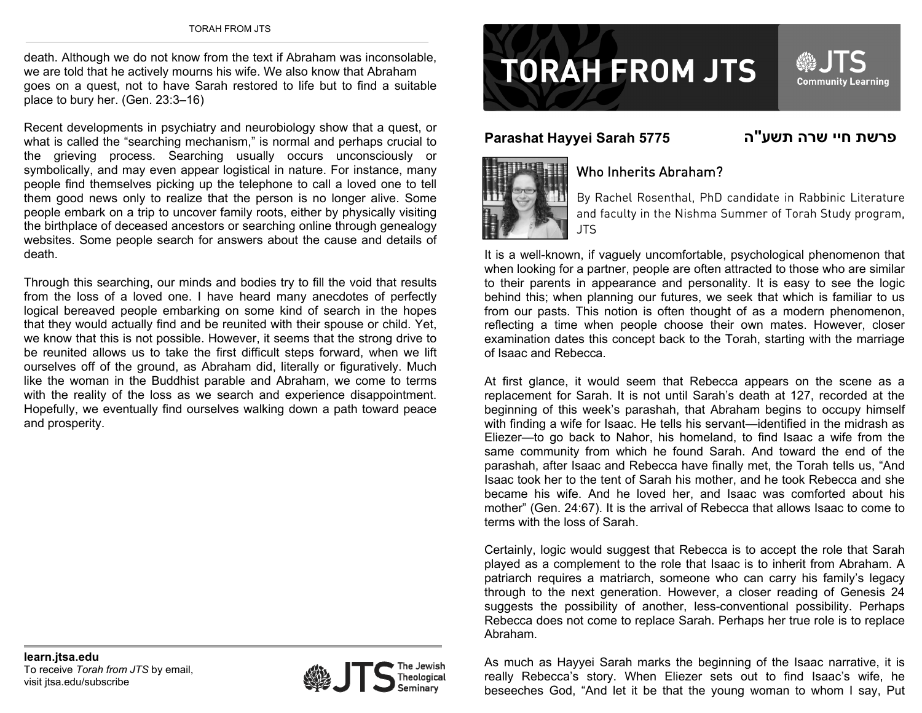death. Although we do not know from the text if Abraham was inconsolable, we are told that he actively mourns his wife. We also know that Abraham goes on a quest, not to have Sarah restored to life but to find a suitable place to bury her. (Gen. 23:3–16)

Recent developments in psychiatry and neurobiology show that a quest, or what is called the "searching mechanism," is normal and perhaps crucial to the grieving process. Searching usually occurs unconsciously or symbolically, and may even appear logistical in nature. For instance, many people find themselves picking up the telephone to call a loved one to tell them good news only to realize that the person is no longer alive. Some people embark on a trip to uncover family roots, either by physically visiting the birthplace of deceased ancestors or searching online through genealogy websites. Some people search for answers about the cause and details of death.

Through this searching, our minds and bodies try to fill the void that results from the loss of a loved one. I have heard many anecdotes of perfectly logical bereaved people embarking on some kind of search in the hopes that they would actually find and be reunited with their spouse or child. Yet, we know that this is not possible. However, it seems that the strong drive to be reunited allows us to take the first difficult steps forward, when we lift ourselves off of the ground, as Abraham did, literally or figuratively. Much like the woman in the Buddhist parable and Abraham, we come to terms with the reality of the loss as we search and experience disappointment. Hopefully, we eventually find ourselves walking down a path toward peace and prosperity.



### **Parashat Hayyei Sarah 5775**

## **פרשת חיי**



### Who Inherits Abraham?

By Rachel Rosenthal, PhD candidate in Rabbinic Literature and faculty in the Nishma Summer of Torah Study program, JTS

It is a well-known, if vaguely uncomfortable, psychological phenomenon that when looking for a partner, people are often attracted to those who are similar to their parents in appearance and personality. It is easy to see the logic behind this; when planning our futures, we seek that which is familiar to us from our pasts. This notion is often thought of as a modern phenomenon, reflecting a time when people choose their own mates. However, closer examination dates this concept back to the Torah, starting with the marriage of Isaac and Rebecca.

At first glance, it would seem that Rebecca appears on the scene as a replacement for Sarah. It is not until Sarah's death at 127, recorded at the beginning of this week's parashah, that Abraham begins to occupy himself with finding a wife for Isaac. He tells his servant—identified in the midrash as Eliezer—to go back to Nahor, his homeland, to find Isaac a wife from the same community from which he found Sarah. And toward the end of the parashah, after Isaac and Rebecca have finally met, the Torah tells us, "And Isaac took her to the tent of Sarah his mother, and he took Rebecca and she became his wife. And he loved her, and Isaac was comforted about his mother" (Gen. 24:67). It is the arrival of Rebecca that allows Isaac to come to terms with the loss of Sarah.

Certainly, logic would suggest that Rebecca is to accept the role that Sarah played as a complement to the role that Isaac is to inherit from Abraham. A patriarch requires a matriarch, someone who can carry his family's legacy through to the next generation. However, a closer reading of Genesis 24 suggests the possibility of another, less-conventional possibility. Perhaps Rebecca does not come to replace Sarah. Perhaps her true role is to replace Abraham.

As much as Hayyei Sarah marks the beginning of the Isaac narrative, it is really Rebecca's story. When Eliezer sets out to find Isaac's wife, he beseeches God, "And let it be that the young woman to whom I say, Put